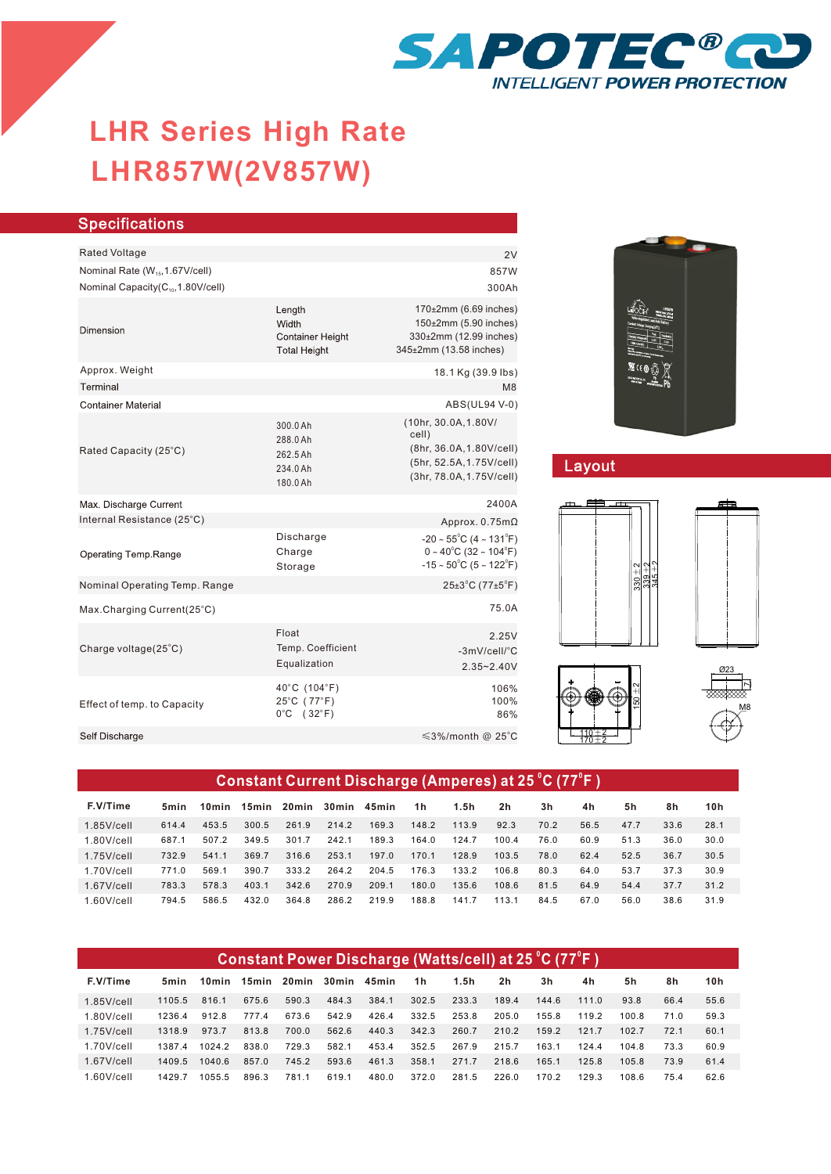

# **LHR857W(2V857W) LHR Series High Rate**

| <b>Specifications</b>                         |                                                                   |                                                                                                                                                   |  |  |  |  |  |
|-----------------------------------------------|-------------------------------------------------------------------|---------------------------------------------------------------------------------------------------------------------------------------------------|--|--|--|--|--|
| <b>Rated Voltage</b>                          |                                                                   | 2V                                                                                                                                                |  |  |  |  |  |
| Nominal Rate (W <sub>15</sub> , 1.67V/cell)   |                                                                   | 857W                                                                                                                                              |  |  |  |  |  |
| Nominal Capacity(C <sub>10</sub> ,1.80V/cell) |                                                                   | 300Ah                                                                                                                                             |  |  |  |  |  |
| Dimension                                     | Length<br>Width<br><b>Container Height</b><br><b>Total Height</b> | 170±2mm (6.69 inches)<br>150±2mm (5.90 inches)<br>330±2mm (12.99 inches)<br>345±2mm (13.58 inches)                                                |  |  |  |  |  |
| Approx. Weight                                |                                                                   | 18.1 Kg (39.9 lbs)                                                                                                                                |  |  |  |  |  |
| Terminal                                      |                                                                   | M8                                                                                                                                                |  |  |  |  |  |
| <b>Container Material</b>                     |                                                                   | ABS(UL94 V-0)                                                                                                                                     |  |  |  |  |  |
| Rated Capacity (25°C)                         | 300.0 Ah<br>288.0 Ah<br>262.5 Ah<br>234.0 Ah<br>180.0 Ah          | (10hr, 30.0A, 1.80V/<br>cell)<br>(8hr, 36.0A, 1.80V/cell)<br>(5hr, 52.5A, 1.75V/cell)<br>(3hr, 78.0A, 1.75V/cell)                                 |  |  |  |  |  |
| Max. Discharge Current                        |                                                                   | 2400A                                                                                                                                             |  |  |  |  |  |
| Internal Resistance (25°C)                    |                                                                   | Approx. $0.75m\Omega$                                                                                                                             |  |  |  |  |  |
| Operating Temp.Range                          | Discharge<br>Charge<br>Storage                                    | $-20 \sim 55^{\circ}$ C (4 ~ 131 $^{\circ}$ F)<br>$0 \sim 40^{\circ}$ C (32 ~ 104 $^{\circ}$ F)<br>$-15 \sim 50^{\circ}$ C (5 ~ 122 $^{\circ}$ F) |  |  |  |  |  |
| Nominal Operating Temp. Range                 |                                                                   | $25\pm3$ °C (77 $\pm5$ °F)                                                                                                                        |  |  |  |  |  |
| Max.Charging Current(25°C)                    |                                                                   | 75.0A                                                                                                                                             |  |  |  |  |  |
| Charge voltage(25°C)                          | Float<br>Temp. Coefficient<br>Equalization                        | 2.25V<br>-3mV/cell/°C<br>$2.35 - 2.40V$                                                                                                           |  |  |  |  |  |
| Effect of temp. to Capacity                   | 40°C (104°F)<br>25°C (77°F)<br>$0^{\circ}$ C (32 $^{\circ}$ F)    | 106%<br>100%<br>86%                                                                                                                               |  |  |  |  |  |
| Self Discharge                                |                                                                   | ≤3%/month @ 25°C                                                                                                                                  |  |  |  |  |  |
|                                               |                                                                   |                                                                                                                                                   |  |  |  |  |  |



## Layout







#### 1.85V/cell 1.80V/cell 1.75V/cell 1.70V/cell 1.67V/cell 1.60V/cell 614.4 453.5 300.5 261.9 214.2 169.3 148.2 113.9 92.3 70.2 56.5 47.7 33.6 28.1 687.1 507.2 349.5 301.7 242.1 189.3 164.0 124.7 100.4 76.0 60.9 51.3 36.0 30.0 732.9 541.1 369.7 316.6 253.1 197.0 170.1 128.9 103.5 78.0 62.4 52.5 36.7 30.5 771.0 569.1 390.7 333.2 264.2 204.5 176.3 133.2 106.8 80.3 64.0 53.7 37.3 30.9 783.3 578.3 403.1 342.6 270.9 209.1 180.0 135.6 108.6 81.5 64.9 54.4 37.7 31.2 794.5 586.5 432.0 364.8 286.2 219.9 188.8 141.7 113.1 84.5 67.0 56.0 38.6 31.9 **F.V/Time 5min 10min 15min 20min 30min 45min 1h 1.5h 2h 3h 4h 5h 8h 10h 0 0 Constant Current Discharge (Amperes) at 25 C (77 F )**

| Constant Power Discharge (Watts/cell) at 25 °C (77°F ) |        |       |       |       |       |       |       |       |                |       |       |       |      |      |
|--------------------------------------------------------|--------|-------|-------|-------|-------|-------|-------|-------|----------------|-------|-------|-------|------|------|
| F.V/Time                                               | 5min   | 10min | 15min | 20min | 30min | 45min | 1h    | 1.5h  | 2 <sub>h</sub> | 3h    | 4h    | 5h    | 8h   | 10h  |
| $1.85$ V/cell                                          | 1105.5 | 816.1 | 675.6 | 590.3 | 484.3 | 384.1 | 302.5 | 233.3 | 189.4          | 144.6 | 111.0 | 93.8  | 66.4 | 55.6 |
| $1.80$ V/cell                                          | 1236.4 | 912.8 | 7774  | 673.6 | 542.9 | 426.4 | 332.5 | 253.8 | 205.0          | 155.8 | 1192  | 100.8 | 71.0 | 59.3 |
| $1.75$ V/cell                                          | 1318.9 | 973.7 | 813.8 | 700.0 | 562.6 | 440.3 | 342.3 | 260.7 | 210.2          | 159.2 | 121.7 | 102.7 | 72.1 | 60.1 |
| $1.70$ V/cell                                          | 13874  | 10242 | 838.0 | 729.3 | 582.1 | 453.4 | 352.5 | 267.9 | 215.7          | 163.1 | 124.4 | 104.8 | 73.3 | 60.9 |
| $1.67$ V/cell                                          | 1409.5 | 10406 | 857.0 | 745.2 | 593.6 | 461.3 | 358.1 | 271.7 | 218.6          | 165.1 | 125.8 | 105.8 | 73.9 | 61.4 |
| $1.60$ V/cell                                          | 14297  | 10555 | 896.3 | 781.1 | 619.1 | 480.0 | 372.0 | 281.5 | 226.0          | 170.2 | 129.3 | 108.6 | 75.4 | 62.6 |